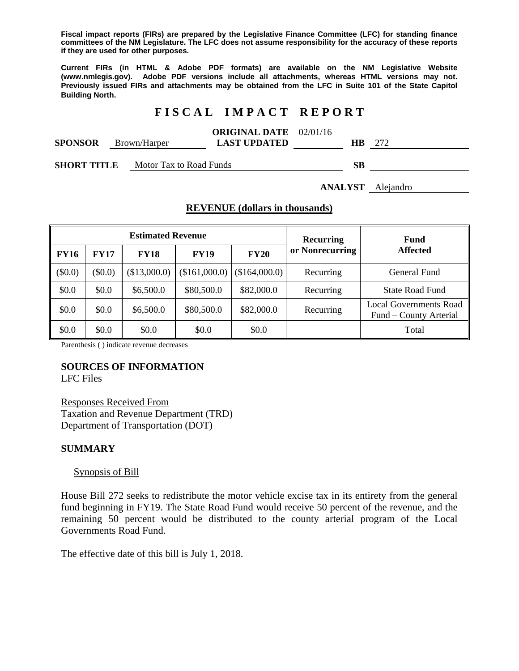**Fiscal impact reports (FIRs) are prepared by the Legislative Finance Committee (LFC) for standing finance committees of the NM Legislature. The LFC does not assume responsibility for the accuracy of these reports if they are used for other purposes.** 

**Current FIRs (in HTML & Adobe PDF formats) are available on the NM Legislative Website (www.nmlegis.gov). Adobe PDF versions include all attachments, whereas HTML versions may not. Previously issued FIRs and attachments may be obtained from the LFC in Suite 101 of the State Capitol Building North.**

## **F I S C A L I M P A C T R E P O R T**

|                                             |              | <b>ORIGINAL DATE</b> 02/01/16 |        |     |
|---------------------------------------------|--------------|-------------------------------|--------|-----|
| <b>SPONSOR</b>                              | Brown/Harper | <b>LAST UPDATED</b>           | HВ     | 272 |
| $\alpha$ and $\alpha$ is the state $\alpha$ |              |                               | $\sim$ |     |

**SHORT TITLE** Motor Tax to Road Funds **SB** 

**ANALYST** Alejandro

### **REVENUE (dollars in thousands)**

| <b>Estimated Revenue</b> |             |              |               |               | <b>Recurring</b> | <b>Fund</b>                                             |
|--------------------------|-------------|--------------|---------------|---------------|------------------|---------------------------------------------------------|
| <b>FY16</b>              | <b>FY17</b> | <b>FY18</b>  | <b>FY19</b>   | <b>FY20</b>   | or Nonrecurring  | <b>Affected</b>                                         |
| $(\$0.0)$                | $(\$0.0)$   | (\$13,000.0) | (\$161,000.0) | (\$164,000.0) | Recurring        | General Fund                                            |
| \$0.0                    | \$0.0       | \$6,500.0    | \$80,500.0    | \$82,000.0    | Recurring        | <b>State Road Fund</b>                                  |
| \$0.0                    | \$0.0       | \$6,500.0    | \$80,500.0    | \$82,000.0    | Recurring        | <b>Local Governments Road</b><br>Fund – County Arterial |
| \$0.0                    | \$0.0       | \$0.0        | \$0.0         | \$0.0         |                  | Total                                                   |

Parenthesis ( ) indicate revenue decreases

### **SOURCES OF INFORMATION**

LFC Files

Responses Received From Taxation and Revenue Department (TRD) Department of Transportation (DOT)

### **SUMMARY**

#### Synopsis of Bill

House Bill 272 seeks to redistribute the motor vehicle excise tax in its entirety from the general fund beginning in FY19. The State Road Fund would receive 50 percent of the revenue, and the remaining 50 percent would be distributed to the county arterial program of the Local Governments Road Fund.

The effective date of this bill is July 1, 2018.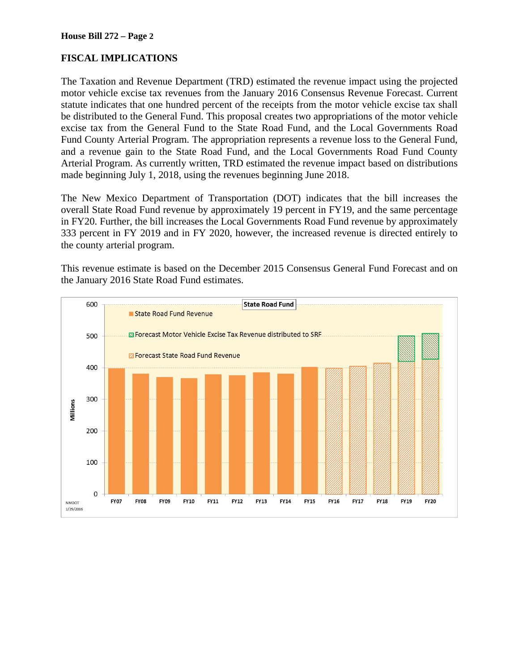### **FISCAL IMPLICATIONS**

The Taxation and Revenue Department (TRD) estimated the revenue impact using the projected motor vehicle excise tax revenues from the January 2016 Consensus Revenue Forecast. Current statute indicates that one hundred percent of the receipts from the motor vehicle excise tax shall be distributed to the General Fund. This proposal creates two appropriations of the motor vehicle excise tax from the General Fund to the State Road Fund, and the Local Governments Road Fund County Arterial Program. The appropriation represents a revenue loss to the General Fund, and a revenue gain to the State Road Fund, and the Local Governments Road Fund County Arterial Program. As currently written, TRD estimated the revenue impact based on distributions made beginning July 1, 2018, using the revenues beginning June 2018.

The New Mexico Department of Transportation (DOT) indicates that the bill increases the overall State Road Fund revenue by approximately 19 percent in FY19, and the same percentage in FY20. Further, the bill increases the Local Governments Road Fund revenue by approximately 333 percent in FY 2019 and in FY 2020, however, the increased revenue is directed entirely to the county arterial program.

This revenue estimate is based on the December 2015 Consensus General Fund Forecast and on the January 2016 State Road Fund estimates.

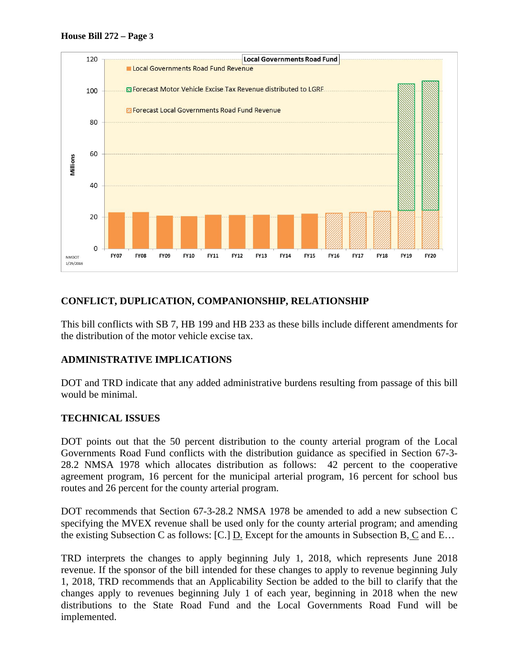



### **CONFLICT, DUPLICATION, COMPANIONSHIP, RELATIONSHIP**

This bill conflicts with SB 7, HB 199 and HB 233 as these bills include different amendments for the distribution of the motor vehicle excise tax.

### **ADMINISTRATIVE IMPLICATIONS**

DOT and TRD indicate that any added administrative burdens resulting from passage of this bill would be minimal.

### **TECHNICAL ISSUES**

DOT points out that the 50 percent distribution to the county arterial program of the Local Governments Road Fund conflicts with the distribution guidance as specified in Section 67-3- 28.2 NMSA 1978 which allocates distribution as follows: 42 percent to the cooperative agreement program, 16 percent for the municipal arterial program, 16 percent for school bus routes and 26 percent for the county arterial program.

DOT recommends that Section 67-3-28.2 NMSA 1978 be amended to add a new subsection C specifying the MVEX revenue shall be used only for the county arterial program; and amending the existing Subsection C as follows: [C.]  $\underline{D}$ . Except for the amounts in Subsection B,  $\underline{C}$  and E...

TRD interprets the changes to apply beginning July 1, 2018, which represents June 2018 revenue. If the sponsor of the bill intended for these changes to apply to revenue beginning July 1, 2018, TRD recommends that an Applicability Section be added to the bill to clarify that the changes apply to revenues beginning July 1 of each year, beginning in 2018 when the new distributions to the State Road Fund and the Local Governments Road Fund will be implemented.